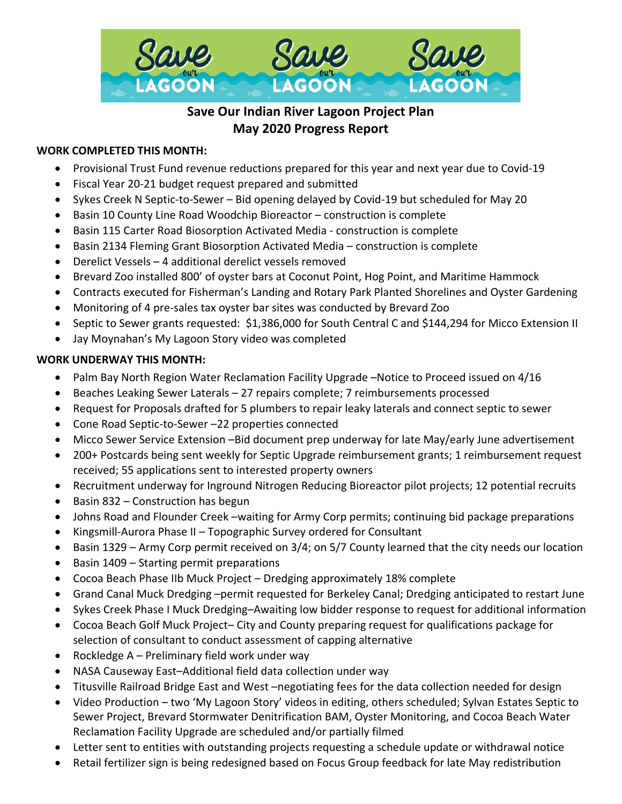

# **Save Our Indian River Lagoon Project Plan May 2020 Progress Report**

# **WORK COMPLETED THIS MONTH:**

- Provisional Trust Fund revenue reductions prepared for this year and next year due to Covid-19
- Fiscal Year 20-21 budget request prepared and submitted
- Sykes Creek N Septic-to-Sewer Bid opening delayed by Covid-19 but scheduled for May 20
- Basin 10 County Line Road Woodchip Bioreactor construction is complete
- Basin 115 Carter Road Biosorption Activated Media construction is complete
- Basin 2134 Fleming Grant Biosorption Activated Media construction is complete
- Derelict Vessels 4 additional derelict vessels removed
- Brevard Zoo installed 800' of oyster bars at Coconut Point, Hog Point, and Maritime Hammock
- Contracts executed for Fisherman's Landing and Rotary Park Planted Shorelines and Oyster Gardening
- Monitoring of 4 pre-sales tax oyster bar sites was conducted by Brevard Zoo
- Septic to Sewer grants requested: \$1,386,000 for South Central C and \$144,294 for Micco Extension II
- Jay Moynahan's My Lagoon Story video was completed

## **WORK UNDERWAY THIS MONTH:**

- Palm Bay North Region Water Reclamation Facility Upgrade –Notice to Proceed issued on 4/16
- Beaches Leaking Sewer Laterals 27 repairs complete; 7 reimbursements processed
- Request for Proposals drafted for 5 plumbers to repair leaky laterals and connect septic to sewer
- Cone Road Septic-to-Sewer –22 properties connected
- Micco Sewer Service Extension –Bid document prep underway for late May/early June advertisement
- 200+ Postcards being sent weekly for Septic Upgrade reimbursement grants; 1 reimbursement request received; 55 applications sent to interested property owners
- Recruitment underway for Inground Nitrogen Reducing Bioreactor pilot projects; 12 potential recruits
- Basin 832 Construction has begun
- Johns Road and Flounder Creek –waiting for Army Corp permits; continuing bid package preparations
- Kingsmill-Aurora Phase II Topographic Survey ordered for Consultant
- Basin 1329 Army Corp permit received on 3/4; on 5/7 County learned that the city needs our location
- Basin 1409 Starting permit preparations
- Cocoa Beach Phase IIb Muck Project Dredging approximately 18% complete
- Grand Canal Muck Dredging –permit requested for Berkeley Canal; Dredging anticipated to restart June
- Sykes Creek Phase I Muck Dredging–Awaiting low bidder response to request for additional information
- Cocoa Beach Golf Muck Project– City and County preparing request for qualifications package for selection of consultant to conduct assessment of capping alternative
- Rockledge A Preliminary field work under way
- NASA Causeway East–Additional field data collection under way
- Titusville Railroad Bridge East and West –negotiating fees for the data collection needed for design
- Video Production two 'My Lagoon Story' videos in editing, others scheduled; Sylvan Estates Septic to Sewer Project, Brevard Stormwater Denitrification BAM, Oyster Monitoring, and Cocoa Beach Water Reclamation Facility Upgrade are scheduled and/or partially filmed
- Letter sent to entities with outstanding projects requesting a schedule update or withdrawal notice
- Retail fertilizer sign is being redesigned based on Focus Group feedback for late May redistribution